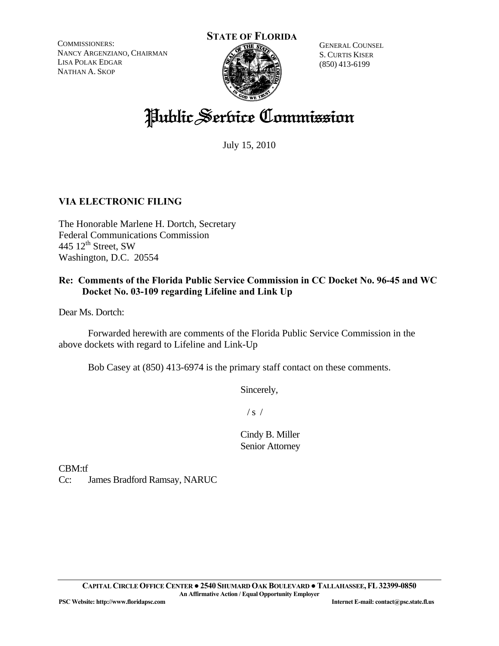COMMISSIONERS: NANCY ARGENZIANO, CHAIRMAN LISA POLAK EDGAR NATHAN A. SKOP





GENERAL COUNSEL S. CURTIS KISER (850) 413-6199

# Public Service Commission

July 15, 2010

# **VIA ELECTRONIC FILING**

The Honorable Marlene H. Dortch, Secretary Federal Communications Commission 445  $12^{\text{th}}$  Street, SW Washington, D.C. 20554

# **Re: Comments of the Florida Public Service Commission in CC Docket No. 96-45 and WC Docket No. 03-109 regarding Lifeline and Link Up**

Dear Ms. Dortch:

 Forwarded herewith are comments of the Florida Public Service Commission in the above dockets with regard to Lifeline and Link-Up

Bob Casey at (850) 413-6974 is the primary staff contact on these comments.

Sincerely,

 $/ s /$ 

Cindy B. Miller Senior Attorney

CBM:tf

Cc: James Bradford Ramsay, NARUC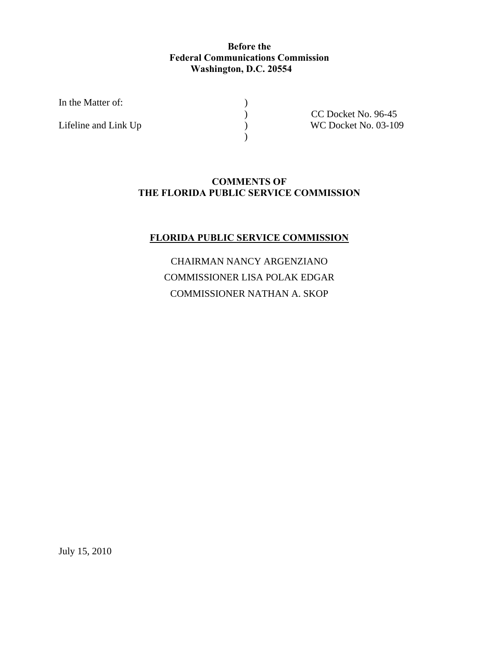# **Before the Federal Communications Commission Washington, D.C. 20554**

In the Matter of:  $\qquad \qquad$  )

 $\overline{\phantom{a}}$ 

) CC Docket No. 96-45<br>
) WC Docket No. 03-10 Lifeline and Link Up  $WCDocket No. 03-109$ 

# **COMMENTS OF THE FLORIDA PUBLIC SERVICE COMMISSION**

# **FLORIDA PUBLIC SERVICE COMMISSION**

CHAIRMAN NANCY ARGENZIANO COMMISSIONER LISA POLAK EDGAR COMMISSIONER NATHAN A. SKOP

July 15, 2010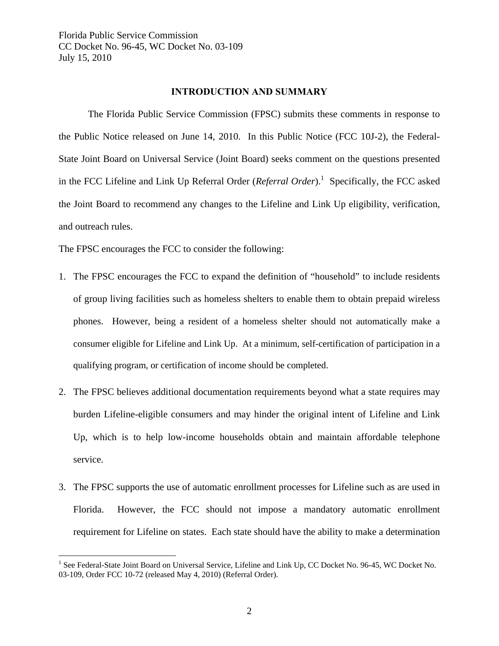## **INTRODUCTION AND SUMMARY**

 The Florida Public Service Commission (FPSC) submits these comments in response to the Public Notice released on June 14, 2010. In this Public Notice (FCC 10J-2), the Federal-State Joint Board on Universal Service (Joint Board) seeks comment on the questions presented in the FCC Lifeline and Link Up Referral Order (*Referral Order*).<sup>1</sup> Specifically, the FCC asked the Joint Board to recommend any changes to the Lifeline and Link Up eligibility, verification, and outreach rules.

The FPSC encourages the FCC to consider the following:

 $\overline{a}$ 

- 1. The FPSC encourages the FCC to expand the definition of "household" to include residents of group living facilities such as homeless shelters to enable them to obtain prepaid wireless phones. However, being a resident of a homeless shelter should not automatically make a consumer eligible for Lifeline and Link Up. At a minimum, self-certification of participation in a qualifying program, or certification of income should be completed.
- 2. The FPSC believes additional documentation requirements beyond what a state requires may burden Lifeline-eligible consumers and may hinder the original intent of Lifeline and Link Up, which is to help low-income households obtain and maintain affordable telephone service.
- 3. The FPSC supports the use of automatic enrollment processes for Lifeline such as are used in Florida. However, the FCC should not impose a mandatory automatic enrollment requirement for Lifeline on states. Each state should have the ability to make a determination

<sup>&</sup>lt;sup>1</sup> See Federal-State Joint Board on Universal Service, Lifeline and Link Up, CC Docket No. 96-45, WC Docket No. 03-109, Order FCC 10-72 (released May 4, 2010) (Referral Order).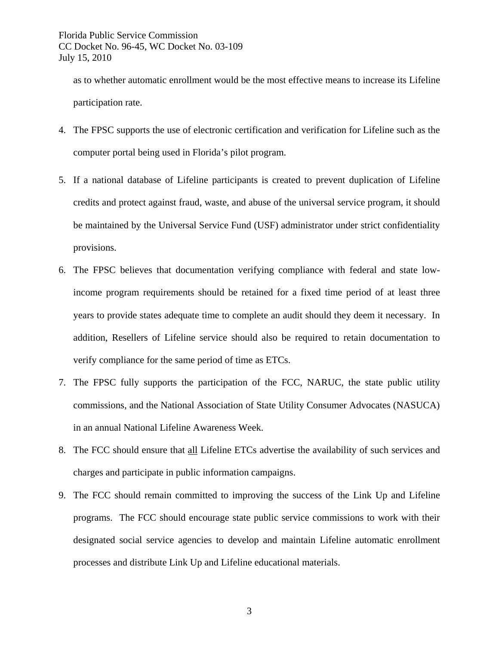as to whether automatic enrollment would be the most effective means to increase its Lifeline participation rate.

- 4. The FPSC supports the use of electronic certification and verification for Lifeline such as the computer portal being used in Florida's pilot program.
- 5. If a national database of Lifeline participants is created to prevent duplication of Lifeline credits and protect against fraud, waste, and abuse of the universal service program, it should be maintained by the Universal Service Fund (USF) administrator under strict confidentiality provisions.
- 6. The FPSC believes that documentation verifying compliance with federal and state lowincome program requirements should be retained for a fixed time period of at least three years to provide states adequate time to complete an audit should they deem it necessary. In addition, Resellers of Lifeline service should also be required to retain documentation to verify compliance for the same period of time as ETCs.
- 7. The FPSC fully supports the participation of the FCC, NARUC, the state public utility commissions, and the National Association of State Utility Consumer Advocates (NASUCA) in an annual National Lifeline Awareness Week.
- 8. The FCC should ensure that all Lifeline ETCs advertise the availability of such services and charges and participate in public information campaigns.
- 9. The FCC should remain committed to improving the success of the Link Up and Lifeline programs. The FCC should encourage state public service commissions to work with their designated social service agencies to develop and maintain Lifeline automatic enrollment processes and distribute Link Up and Lifeline educational materials.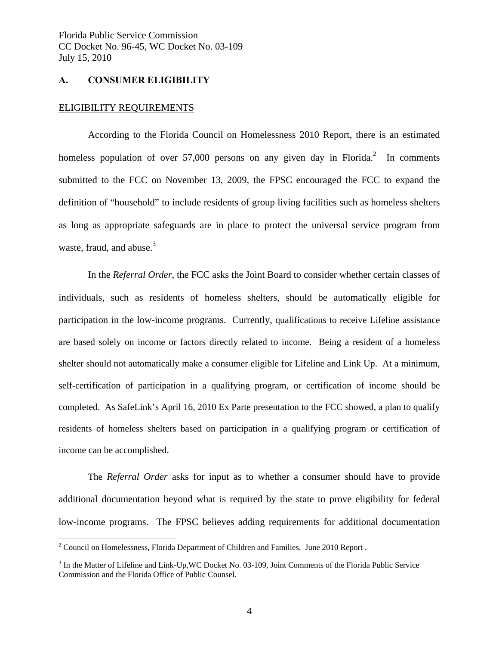## **A. CONSUMER ELIGIBILITY**

#### ELIGIBILITY REQUIREMENTS

1

 According to the Florida Council on Homelessness 2010 Report, there is an estimated homeless population of over  $57,000$  persons on any given day in Florida.<sup>2</sup> In comments submitted to the FCC on November 13, 2009, the FPSC encouraged the FCC to expand the definition of "household" to include residents of group living facilities such as homeless shelters as long as appropriate safeguards are in place to protect the universal service program from waste, fraud, and abuse. $3$ 

 In the *Referral Order*, the FCC asks the Joint Board to consider whether certain classes of individuals, such as residents of homeless shelters, should be automatically eligible for participation in the low-income programs. Currently, qualifications to receive Lifeline assistance are based solely on income or factors directly related to income. Being a resident of a homeless shelter should not automatically make a consumer eligible for Lifeline and Link Up. At a minimum, self-certification of participation in a qualifying program, or certification of income should be completed. As SafeLink's April 16, 2010 Ex Parte presentation to the FCC showed, a plan to qualify residents of homeless shelters based on participation in a qualifying program or certification of income can be accomplished.

 The *Referral Order* asks for input as to whether a consumer should have to provide additional documentation beyond what is required by the state to prove eligibility for federal low-income programs. The FPSC believes adding requirements for additional documentation

 $2^2$  Council on Homelessness, Florida Department of Children and Families, June 2010 Report.

 $3$  In the Matter of Lifeline and Link-Up, WC Docket No. 03-109, Joint Comments of the Florida Public Service Commission and the Florida Office of Public Counsel.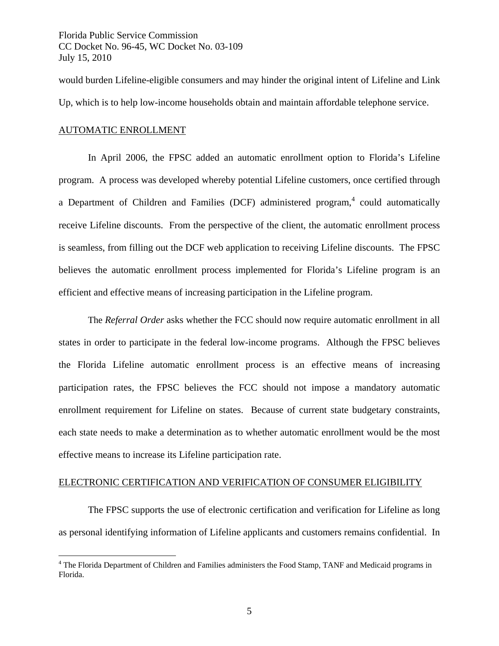would burden Lifeline-eligible consumers and may hinder the original intent of Lifeline and Link Up, which is to help low-income households obtain and maintain affordable telephone service.

# AUTOMATIC ENROLLMENT

1

 In April 2006, the FPSC added an automatic enrollment option to Florida's Lifeline program. A process was developed whereby potential Lifeline customers, once certified through a Department of Children and Families (DCF) administered program,<sup>4</sup> could automatically receive Lifeline discounts. From the perspective of the client, the automatic enrollment process is seamless, from filling out the DCF web application to receiving Lifeline discounts. The FPSC believes the automatic enrollment process implemented for Florida's Lifeline program is an efficient and effective means of increasing participation in the Lifeline program.

The *Referral Order* asks whether the FCC should now require automatic enrollment in all states in order to participate in the federal low-income programs. Although the FPSC believes the Florida Lifeline automatic enrollment process is an effective means of increasing participation rates, the FPSC believes the FCC should not impose a mandatory automatic enrollment requirement for Lifeline on states. Because of current state budgetary constraints, each state needs to make a determination as to whether automatic enrollment would be the most effective means to increase its Lifeline participation rate.

## ELECTRONIC CERTIFICATION AND VERIFICATION OF CONSUMER ELIGIBILITY

 The FPSC supports the use of electronic certification and verification for Lifeline as long as personal identifying information of Lifeline applicants and customers remains confidential. In

<sup>&</sup>lt;sup>4</sup> The Florida Department of Children and Families administers the Food Stamp, TANF and Medicaid programs in Florida.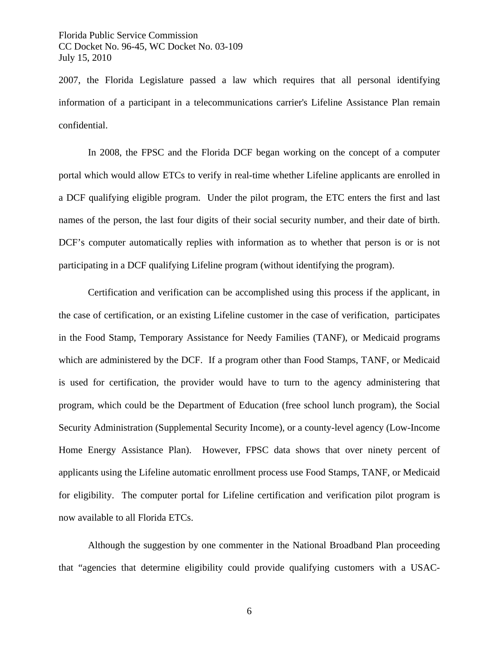2007, the Florida Legislature passed a law which requires that all personal identifying information of a participant in a telecommunications carrier's Lifeline Assistance Plan remain confidential.

 In 2008, the FPSC and the Florida DCF began working on the concept of a computer portal which would allow ETCs to verify in real-time whether Lifeline applicants are enrolled in a DCF qualifying eligible program. Under the pilot program, the ETC enters the first and last names of the person, the last four digits of their social security number, and their date of birth. DCF's computer automatically replies with information as to whether that person is or is not participating in a DCF qualifying Lifeline program (without identifying the program).

 Certification and verification can be accomplished using this process if the applicant, in the case of certification, or an existing Lifeline customer in the case of verification, participates in the Food Stamp, Temporary Assistance for Needy Families (TANF), or Medicaid programs which are administered by the DCF. If a program other than Food Stamps, TANF, or Medicaid is used for certification, the provider would have to turn to the agency administering that program, which could be the Department of Education (free school lunch program), the Social Security Administration (Supplemental Security Income), or a county-level agency (Low-Income Home Energy Assistance Plan). However, FPSC data shows that over ninety percent of applicants using the Lifeline automatic enrollment process use Food Stamps, TANF, or Medicaid for eligibility. The computer portal for Lifeline certification and verification pilot program is now available to all Florida ETCs.

 Although the suggestion by one commenter in the National Broadband Plan proceeding that "agencies that determine eligibility could provide qualifying customers with a USAC-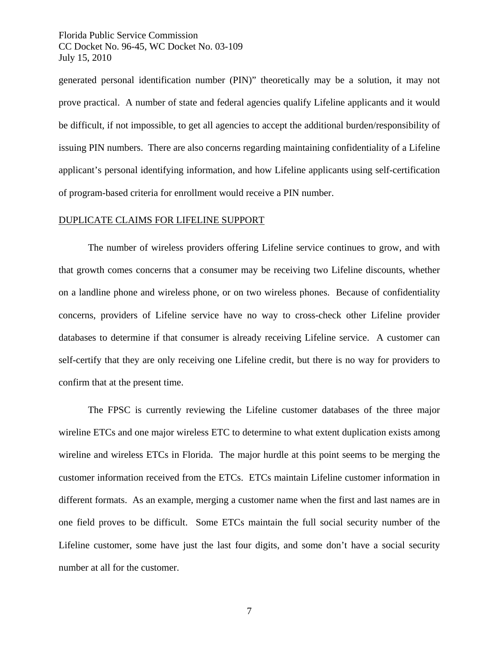generated personal identification number (PIN)" theoretically may be a solution, it may not prove practical. A number of state and federal agencies qualify Lifeline applicants and it would be difficult, if not impossible, to get all agencies to accept the additional burden/responsibility of issuing PIN numbers. There are also concerns regarding maintaining confidentiality of a Lifeline applicant's personal identifying information, and how Lifeline applicants using self-certification of program-based criteria for enrollment would receive a PIN number.

## DUPLICATE CLAIMS FOR LIFELINE SUPPORT

 The number of wireless providers offering Lifeline service continues to grow, and with that growth comes concerns that a consumer may be receiving two Lifeline discounts, whether on a landline phone and wireless phone, or on two wireless phones. Because of confidentiality concerns, providers of Lifeline service have no way to cross-check other Lifeline provider databases to determine if that consumer is already receiving Lifeline service. A customer can self-certify that they are only receiving one Lifeline credit, but there is no way for providers to confirm that at the present time.

 The FPSC is currently reviewing the Lifeline customer databases of the three major wireline ETCs and one major wireless ETC to determine to what extent duplication exists among wireline and wireless ETCs in Florida. The major hurdle at this point seems to be merging the customer information received from the ETCs. ETCs maintain Lifeline customer information in different formats. As an example, merging a customer name when the first and last names are in one field proves to be difficult. Some ETCs maintain the full social security number of the Lifeline customer, some have just the last four digits, and some don't have a social security number at all for the customer.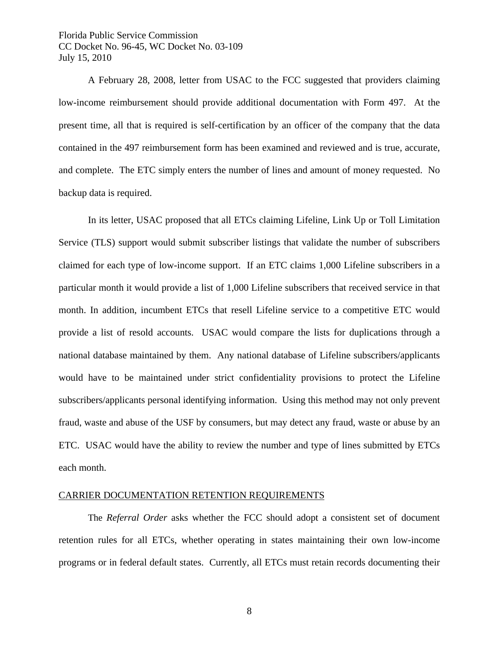A February 28, 2008, letter from USAC to the FCC suggested that providers claiming low-income reimbursement should provide additional documentation with Form 497. At the present time, all that is required is self-certification by an officer of the company that the data contained in the 497 reimbursement form has been examined and reviewed and is true, accurate, and complete. The ETC simply enters the number of lines and amount of money requested. No backup data is required.

 In its letter, USAC proposed that all ETCs claiming Lifeline, Link Up or Toll Limitation Service (TLS) support would submit subscriber listings that validate the number of subscribers claimed for each type of low-income support. If an ETC claims 1,000 Lifeline subscribers in a particular month it would provide a list of 1,000 Lifeline subscribers that received service in that month. In addition, incumbent ETCs that resell Lifeline service to a competitive ETC would provide a list of resold accounts. USAC would compare the lists for duplications through a national database maintained by them. Any national database of Lifeline subscribers/applicants would have to be maintained under strict confidentiality provisions to protect the Lifeline subscribers/applicants personal identifying information. Using this method may not only prevent fraud, waste and abuse of the USF by consumers, but may detect any fraud, waste or abuse by an ETC. USAC would have the ability to review the number and type of lines submitted by ETCs each month.

#### CARRIER DOCUMENTATION RETENTION REQUIREMENTS

The *Referral Order* asks whether the FCC should adopt a consistent set of document retention rules for all ETCs, whether operating in states maintaining their own low-income programs or in federal default states. Currently, all ETCs must retain records documenting their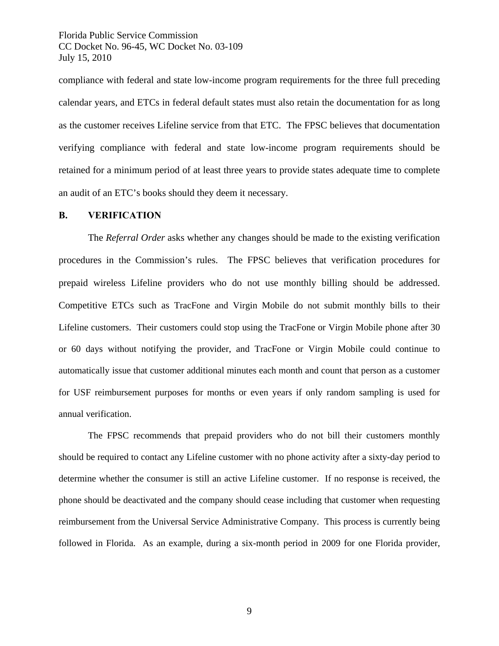compliance with federal and state low-income program requirements for the three full preceding calendar years, and ETCs in federal default states must also retain the documentation for as long as the customer receives Lifeline service from that ETC. The FPSC believes that documentation verifying compliance with federal and state low-income program requirements should be retained for a minimum period of at least three years to provide states adequate time to complete an audit of an ETC's books should they deem it necessary.

## **B. VERIFICATION**

The *Referral Order* asks whether any changes should be made to the existing verification procedures in the Commission's rules. The FPSC believes that verification procedures for prepaid wireless Lifeline providers who do not use monthly billing should be addressed. Competitive ETCs such as TracFone and Virgin Mobile do not submit monthly bills to their Lifeline customers. Their customers could stop using the TracFone or Virgin Mobile phone after 30 or 60 days without notifying the provider, and TracFone or Virgin Mobile could continue to automatically issue that customer additional minutes each month and count that person as a customer for USF reimbursement purposes for months or even years if only random sampling is used for annual verification.

 The FPSC recommends that prepaid providers who do not bill their customers monthly should be required to contact any Lifeline customer with no phone activity after a sixty-day period to determine whether the consumer is still an active Lifeline customer. If no response is received, the phone should be deactivated and the company should cease including that customer when requesting reimbursement from the Universal Service Administrative Company. This process is currently being followed in Florida. As an example, during a six-month period in 2009 for one Florida provider,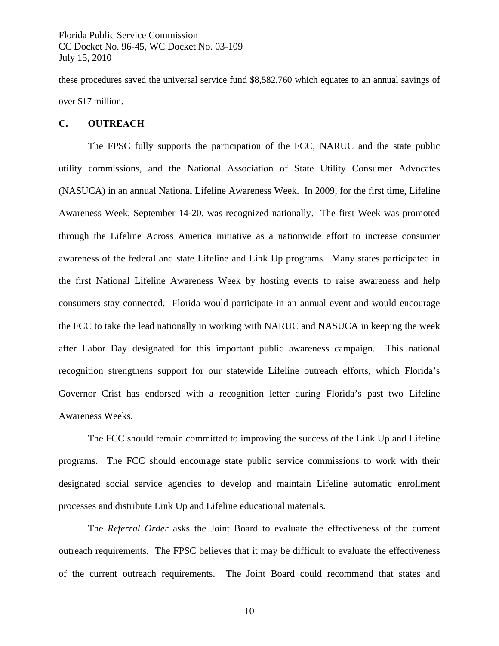these procedures saved the universal service fund \$8,582,760 which equates to an annual savings of over \$17 million.

#### **C. OUTREACH**

 The FPSC fully supports the participation of the FCC, NARUC and the state public utility commissions, and the National Association of State Utility Consumer Advocates (NASUCA) in an annual National Lifeline Awareness Week. In 2009, for the first time, Lifeline Awareness Week, September 14-20, was recognized nationally. The first Week was promoted through the Lifeline Across America initiative as a nationwide effort to increase consumer awareness of the federal and state Lifeline and Link Up programs. Many states participated in the first National Lifeline Awareness Week by hosting events to raise awareness and help consumers stay connected. Florida would participate in an annual event and would encourage the FCC to take the lead nationally in working with NARUC and NASUCA in keeping the week after Labor Day designated for this important public awareness campaign. This national recognition strengthens support for our statewide Lifeline outreach efforts, which Florida's Governor Crist has endorsed with a recognition letter during Florida's past two Lifeline Awareness Weeks.

 The FCC should remain committed to improving the success of the Link Up and Lifeline programs. The FCC should encourage state public service commissions to work with their designated social service agencies to develop and maintain Lifeline automatic enrollment processes and distribute Link Up and Lifeline educational materials.

The *Referral Order* asks the Joint Board to evaluate the effectiveness of the current outreach requirements. The FPSC believes that it may be difficult to evaluate the effectiveness of the current outreach requirements. The Joint Board could recommend that states and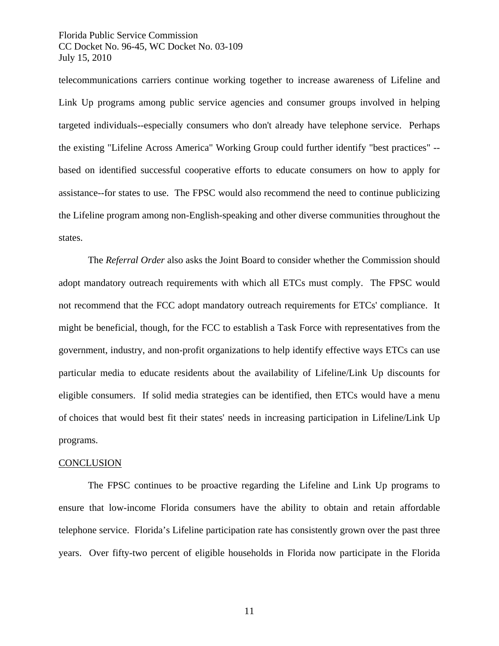telecommunications carriers continue working together to increase awareness of Lifeline and Link Up programs among public service agencies and consumer groups involved in helping targeted individuals--especially consumers who don't already have telephone service. Perhaps the existing "Lifeline Across America" Working Group could further identify "best practices" - based on identified successful cooperative efforts to educate consumers on how to apply for assistance--for states to use. The FPSC would also recommend the need to continue publicizing the Lifeline program among non-English-speaking and other diverse communities throughout the states.

 The *Referral Order* also asks the Joint Board to consider whether the Commission should adopt mandatory outreach requirements with which all ETCs must comply. The FPSC would not recommend that the FCC adopt mandatory outreach requirements for ETCs' compliance. It might be beneficial, though, for the FCC to establish a Task Force with representatives from the government, industry, and non-profit organizations to help identify effective ways ETCs can use particular media to educate residents about the availability of Lifeline/Link Up discounts for eligible consumers. If solid media strategies can be identified, then ETCs would have a menu of choices that would best fit their states' needs in increasing participation in Lifeline/Link Up programs.

#### **CONCLUSION**

The FPSC continues to be proactive regarding the Lifeline and Link Up programs to ensure that low-income Florida consumers have the ability to obtain and retain affordable telephone service. Florida's Lifeline participation rate has consistently grown over the past three years. Over fifty-two percent of eligible households in Florida now participate in the Florida

11